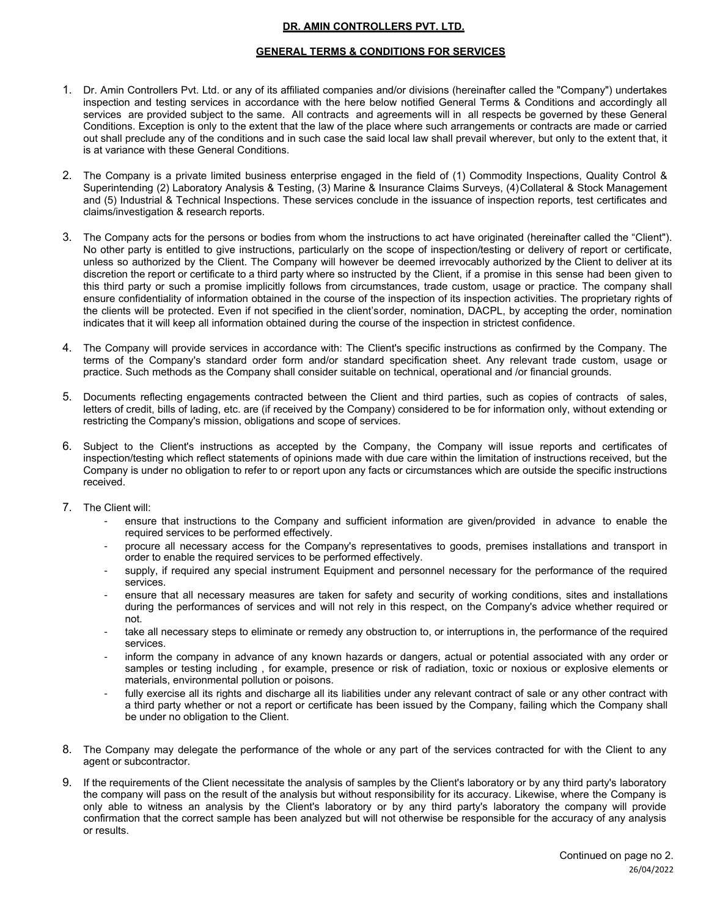## **DR. AMIN CONTROLLERS PVT. LTD.**

## **GENERAL TERMS & CONDITIONS FOR SERVICES**

- 1. Dr. Amin Controllers Pvt. Ltd. or any of its affiliated companies and/or divisions (hereinafter called the "Company") undertakes inspection and testing services in accordance with the here below notified General Terms & Conditions and accordingly all services are provided subject to the same. All contracts and agreements will in all respects be governed by these General Conditions. Exception is only to the extent that the law of the place where such arrangements or contracts are made or carried out shall preclude any of the conditions and in such case the said local law shall prevail wherever, but only to the extent that, it is at variance with these General Conditions.
- 2. The Company is a private limited business enterprise engaged in the field of (1) Commodity Inspections, Quality Control & Superintending (2) Laboratory Analysis & Testing, (3) Marine & Insurance Claims Surveys, (4) Collateral & Stock Management and (5) Industrial & Technical Inspections. These services conclude in the issuance of inspection reports, test certificates and claims/investigation & research reports.
- 3. The Company acts for the persons or bodies from whom the instructions to act have originated (hereinafter called the "Client"). No other party is entitled to give instructions, particularly on the scope of inspection/testing or delivery of report or certificate, unless so authorized by the Client. The Company will however be deemed irrevocably authorized by the Client to deliver at its discretion the report or certificate to a third party where so instructed by the Client, if a promise in this sense had been given to this third party or such a promise implicitly follows from circumstances, trade custom, usage or practice. The company shall ensure confidentiality of information obtained in the course of the inspection of its inspection activities. The proprietary rights of the clients will be protected. Even if not specified in the client's order, nomination, DACPL, by accepting the order, nomination indicates that it will keep all information obtained during the course of the inspection in strictest confidence.
- 4. The Company will provide services in accordance with: The Client's specific instructions as confirmed by the Company. The terms of the Company's standard order form and/or standard specification sheet. Any relevant trade custom, usage or practice. Such methods as the Company shall consider suitable on technical, operational and /or financial grounds.
- 5. Documents reflecting engagements contracted between the Client and third parties, such as copies of contracts of sales, letters of credit, bills of lading, etc. are (if received by the Company) considered to be for information only, without extending or restricting the Company's mission, obligations and scope of services.
- 6. Subject to the Client's instructions as accepted by the Company, the Company will issue reports and certificates of inspection/testing which reflect statements of opinions made with due care within the limitation of instructions received, but the Company is under no obligation to refer to or report upon any facts or circumstances which are outside the specific instructions received.
- 7. The Client will:
	- ‐ ensure that instructions to the Company and sufficient information are given/provided in advance to enable the required services to be performed effectively.
	- ‐ procure all necessary access for the Company's representatives to goods, premises installations and transport in order to enable the required services to be performed effectively.
	- supply, if required any special instrument Equipment and personnel necessary for the performance of the required services.
	- ‐ ensure that all necessary measures are taken for safety and security of working conditions, sites and installations during the performances of services and will not rely in this respect, on the Company's advice whether required or not.
	- take all necessary steps to eliminate or remedy any obstruction to, or interruptions in, the performance of the required services.
	- inform the company in advance of any known hazards or dangers, actual or potential associated with any order or samples or testing including , for example, presence or risk of radiation, toxic or noxious or explosive elements or materials, environmental pollution or poisons.
	- fully exercise all its rights and discharge all its liabilities under any relevant contract of sale or any other contract with a third party whether or not a report or certificate has been issued by the Company, failing which the Company shall be under no obligation to the Client.
- 8. The Company may delegate the performance of the whole or any part of the services contracted for with the Client to any agent or subcontractor.
- 9. If the requirements of the Client necessitate the analysis of samples by the Client's laboratory or by any third party's laboratory the company will pass on the result of the analysis but without responsibility for its accuracy. Likewise, where the Company is only able to witness an analysis by the Client's laboratory or by any third party's laboratory the company will provide confirmation that the correct sample has been analyzed but will not otherwise be responsible for the accuracy of any analysis or results.